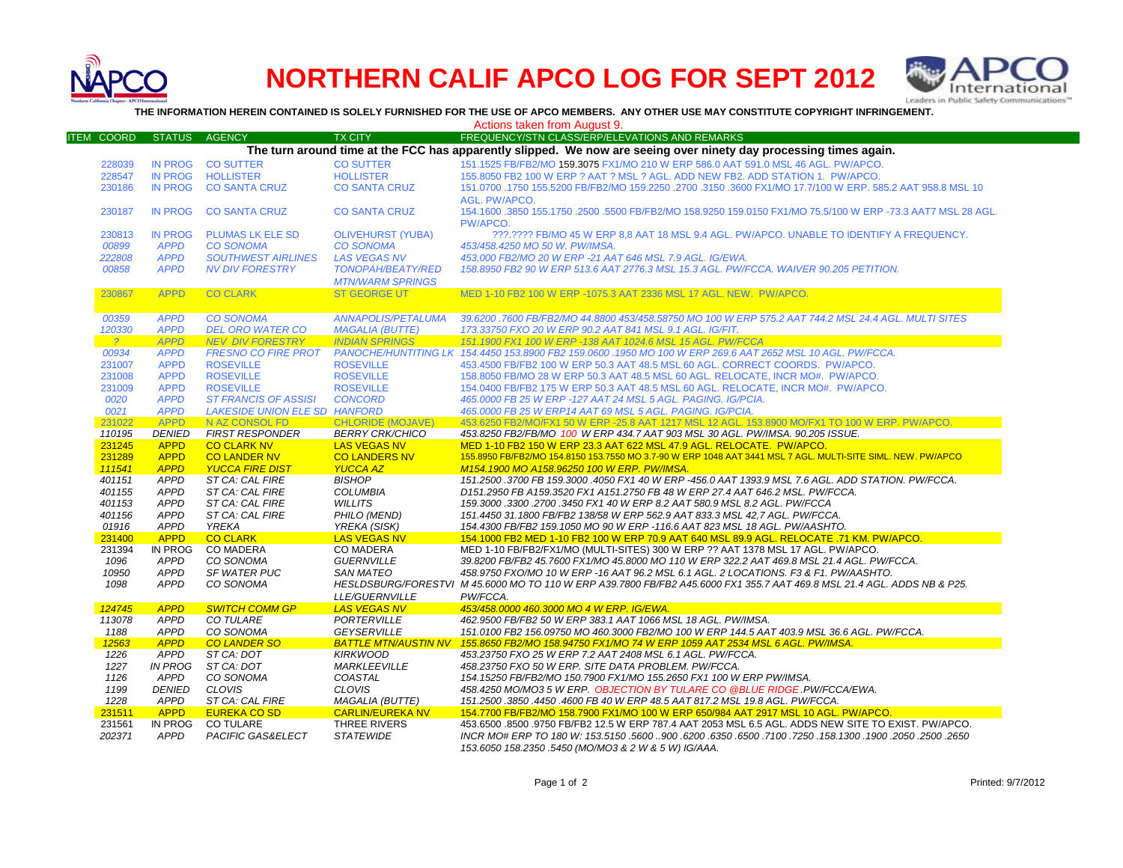

# **NORTHERN CALIF APCO LOG FOR SEPT 2012**



**THE INFORMATION HEREIN CONTAINED IS SOLELY FURNISHED FOR THE USE OF APCO MEMBERS. ANY OTHER USE MAY CONSTITUTE COPYRIGHT INFRINGEMENT.**

Actions taken from August 9.

| <b>ITEM COORD</b>                                                                                                 | <b>STATUS</b>  | <b>AGENCY</b>                 | <b>TX CITY</b>            | FREQUENCY/STN CLASS/ERP/ELEVATIONS AND REMARKS                                                                          |  |  |  |
|-------------------------------------------------------------------------------------------------------------------|----------------|-------------------------------|---------------------------|-------------------------------------------------------------------------------------------------------------------------|--|--|--|
| The turn around time at the FCC has apparently slipped. We now are seeing over ninety day processing times again. |                |                               |                           |                                                                                                                         |  |  |  |
| 228039                                                                                                            | <b>IN PROG</b> | <b>CO SUTTER</b>              | <b>CO SUTTER</b>          | 151.1525 FB/FB2/MO 159.3075 FX1/MO 210 W ERP 586.0 AAT 591.0 MSL 46 AGL. PW/APCO.                                       |  |  |  |
| 228547                                                                                                            | <b>IN PROG</b> | <b>HOLLISTER</b>              | <b>HOLLISTER</b>          | 155,8050 FB2 100 W ERP ? AAT ? MSL ? AGL, ADD NEW FB2, ADD STATION 1, PW/APCO,                                          |  |  |  |
|                                                                                                                   | <b>IN PROG</b> | <b>CO SANTA CRUZ</b>          | <b>CO SANTA CRUZ</b>      | 151.0700 .1750 155.5200 FB/FB2/MO 159.2250 .2700 .3150 .3600 FX1/MO 17.7/100 W ERP. 585.2 AAT 958.8 MSL 10              |  |  |  |
| 230186                                                                                                            |                |                               |                           |                                                                                                                         |  |  |  |
|                                                                                                                   |                |                               |                           | AGL. PW/APCO.                                                                                                           |  |  |  |
| 230187                                                                                                            | <b>IN PROG</b> | <b>CO SANTA CRUZ</b>          | <b>CO SANTA CRUZ</b>      | 154.1600 .3850 155.1750 .2500 .5500 FB/FB2/MO 158.9250 159.0150 FX1/MO 75.5/100 W ERP -73.3 AAT7 MSL 28 AGL.            |  |  |  |
|                                                                                                                   |                |                               |                           | PW/APCO.                                                                                                                |  |  |  |
| 230813                                                                                                            | <b>IN PROG</b> | <b>PLUMAS LK ELE SD</b>       | <b>OLIVEHURST (YUBA)</b>  | ???.???? FB/MO 45 W ERP 8.8 AAT 18 MSL 9.4 AGL. PW/APCO, UNABLE TO IDENTIFY A FREQUENCY.                                |  |  |  |
| 00899                                                                                                             | <b>APPD</b>    | <b>CO SONOMA</b>              | <b>CO SONOMA</b>          | 453/458.4250 MO 50 W. PW/IMSA.                                                                                          |  |  |  |
| 222808                                                                                                            | <b>APPD</b>    | <b>SOUTHWEST AIRLINES</b>     | <b>LAS VEGAS NV</b>       | 453.000 FB2/MO 20 W ERP -21 AAT 646 MSL 7.9 AGL. IG/EWA.                                                                |  |  |  |
| 00858                                                                                                             | <b>APPD</b>    | <b>NV DIV FORESTRY</b>        | <b>TONOPAH/BEATY/RED</b>  | 158.8950 FB2 90 W ERP 513.6 AAT 2776.3 MSL 15.3 AGL. PW/FCCA. WAIVER 90.205 PETITION.                                   |  |  |  |
|                                                                                                                   |                |                               | <b>MTN/WARM SPRINGS</b>   |                                                                                                                         |  |  |  |
| 230867                                                                                                            | <b>APPD</b>    | <b>CO CLARK</b>               | <b>ST GEORGE UT</b>       | MED 1-10 FB2 100 W ERP -1075.3 AAT 2336 MSL 17 AGL. NEW. PW/APCO.                                                       |  |  |  |
|                                                                                                                   |                |                               |                           |                                                                                                                         |  |  |  |
| 00359                                                                                                             | <b>APPD</b>    | <b>CO SONOMA</b>              | <b>ANNAPOLIS/PETALUMA</b> | 39.6200 .7600 FB/FB2/MO 44.8800 453/458.58750 MO 100 W ERP 575.2 AAT 744.2 MSL 24.4 AGL. MULTI SITES                    |  |  |  |
|                                                                                                                   |                |                               |                           |                                                                                                                         |  |  |  |
| 120330                                                                                                            | <b>APPD</b>    | <b>DEL ORO WATER CO</b>       | <b>MAGALIA (BUTTE)</b>    | 173.33750 FXO 20 W ERP 90.2 AAT 841 MSL 9.1 AGL. IG/FIT.                                                                |  |  |  |
| $\frac{2}{3}$                                                                                                     | <b>APPD</b>    | <b>NEV DIV FORESTRY</b>       | <b>INDIAN SPRINGS</b>     | 151.1900 FX1 100 W ERP -138 AAT 1024.6 MSL 15 AGL, PW/FCCA                                                              |  |  |  |
| 00934                                                                                                             | <b>APPD</b>    | <b>FRESNO CO FIRE PROT</b>    |                           | PANOCHE/HUNTITING LK 154.4450 153.8900 FB2 159.0600 .1950 MO 100 W ERP 269.6 AAT 2652 MSL 10 AGL. PW/FCCA.              |  |  |  |
| 231007                                                                                                            | <b>APPD</b>    | <b>ROSEVILLE</b>              | <b>ROSEVILLE</b>          | 453.4500 FB/FB2 100 W ERP 50.3 AAT 48.5 MSL 60 AGL. CORRECT COORDS. PW/APCO.                                            |  |  |  |
| 231008                                                                                                            | <b>APPD</b>    | <b>ROSEVILLE</b>              | <b>ROSEVILLE</b>          | 158.8050 FB/MO 28 W ERP 50.3 AAT 48.5 MSL 60 AGL. RELOCATE, INCR MO#. PW/APCO.                                          |  |  |  |
| 231009                                                                                                            | <b>APPD</b>    | <b>ROSEVILLE</b>              | <b>ROSEVILLE</b>          | 154.0400 FB/FB2 175 W ERP 50.3 AAT 48.5 MSL 60 AGL. RELOCATE, INCR MO#. PW/APCO.                                        |  |  |  |
| 0020                                                                                                              | <b>APPD</b>    | <b>ST FRANCIS OF ASSISI</b>   | <b>CONCORD</b>            | 465.0000 FB 25 W ERP - 127 AAT 24 MSL 5 AGL. PAGING. IG/PCIA.                                                           |  |  |  |
| 0021                                                                                                              | <b>APPD</b>    | LAKESIDE UNION ELE SD HANFORD |                           | 465.0000 FB 25 W ERP14 AAT 69 MSL 5 AGL. PAGING. IG/PCIA.                                                               |  |  |  |
| 231022                                                                                                            | <b>APPD</b>    | N AZ CONSOL FD                | <b>CHLORIDE (MOJAVE)</b>  | 453.6250 FB2/MO/FX1 50 W ERP -25.8 AAT 1217 MSL 12 AGL. 153.8900 MO/FX1 TO 100 W ERP. PW/APCO.                          |  |  |  |
| 110195                                                                                                            | <b>DENIED</b>  | <b>FIRST RESPONDER</b>        | <b>BERRY CRK/CHICO</b>    | 453.8250 FB2/FB/MO 100 W ERP 434.7 AAT 903 MSL 30 AGL. PW/IMSA. 90.205 ISSUE.                                           |  |  |  |
| 231245                                                                                                            | <b>APPD</b>    | <b>CO CLARK NV</b>            | <b>LAS VEGAS NV</b>       | MED 1-10 FB2 150 W ERP 23.3 AAT 622 MSL 47.9 AGL. RELOCATE. PW/APCO.                                                    |  |  |  |
| 231289                                                                                                            | <b>APPD</b>    | <b>CO LANDER NV</b>           | <b>CO LANDERS NV</b>      | 155.8950 FB/FB2/MO 154.8150 153.7550 MO 3.7-90 W ERP 1048 AAT 3441 MSL 7 AGL. MULTI-SITE SIML. NEW. PW/APCO             |  |  |  |
| 111541                                                                                                            | <b>APPD</b>    | <b>YUCCA FIRE DIST</b>        | <b>YUCCA AZ</b>           | M154.1900 MO A158.96250 100 W ERP. PW/IMSA.                                                                             |  |  |  |
| 401151                                                                                                            | <b>APPD</b>    | ST CA: CAL FIRE               | <b>BISHOP</b>             | 151.2500 .3700 FB 159.3000 .4050 FX1 40 W ERP -456.0 AAT 1393.9 MSL 7.6 AGL. ADD STATION. PW/FCCA.                      |  |  |  |
| 401155                                                                                                            | <b>APPD</b>    | ST CA: CAL FIRE               | <b>COLUMBIA</b>           | D151.2950 FB A159.3520 FX1 A151.2750 FB 48 W ERP 27.4 AAT 646.2 MSL. PW/FCCA.                                           |  |  |  |
| 401153                                                                                                            | <b>APPD</b>    | ST CA: CAL FIRE               | <b>WILLITS</b>            | 159.3000.3300.2700.3450 FX1 40 W ERP 8.2 AAT 580.9 MSL 8.2 AGL. PW/FCCA                                                 |  |  |  |
| 401156                                                                                                            | <b>APPD</b>    | ST CA: CAL FIRE               | PHILO (MEND)              | 151.4450 31.1800 FB/FB2 138/58 W ERP 562.9 AAT 833.3 MSL 42,7 AGL. PW/FCCA.                                             |  |  |  |
| 01916                                                                                                             | APPD           | YREKA                         | YREKA (SISK)              | 154.4300 FB/FB2 159.1050 MO 90 W ERP -116.6 AAT 823 MSL 18 AGL. PW/AASHTO.                                              |  |  |  |
| 231400                                                                                                            | <b>APPD</b>    | <b>CO CLARK</b>               | <b>LAS VEGAS NV</b>       | 154.1000 FB2 MED 1-10 FB2 100 W ERP 70.9 AAT 640 MSL 89.9 AGL. RELOCATE .71 KM. PW/APCO.                                |  |  |  |
| 231394                                                                                                            | IN PROG        | <b>CO MADERA</b>              | <b>CO MADERA</b>          | MED 1-10 FB/FB2/FX1/MO (MULTI-SITES) 300 W ERP ?? AAT 1378 MSL 17 AGL. PW/APCO.                                         |  |  |  |
| 1096                                                                                                              | <b>APPD</b>    | CO SONOMA                     | <b>GUERNVILLE</b>         | 39.8200 FB/FB2 45.7600 FX1/MO 45.8000 MO 110 W ERP 322.2 AAT 469.8 MSL 21.4 AGL. PW/FCCA.                               |  |  |  |
| 10950                                                                                                             | <b>APPD</b>    | SF WATER PUC                  | <b>SAN MATEO</b>          | 458.9750 FXO/MO 10 W ERP -16 AAT 96.2 MSL 6.1 AGL. 2 LOCATIONS. F3 & F1. PW/AASHTO.                                     |  |  |  |
| 1098                                                                                                              | <b>APPD</b>    | CO SONOMA                     |                           | HESLDSBURG/FORESTVI M 45.6000 MO TO 110 W ERP A39.7800 FB/FB2 A45.6000 FX1 355.7 AAT 469.8 MSL 21.4 AGL. ADDS NB & P25. |  |  |  |
|                                                                                                                   |                |                               |                           |                                                                                                                         |  |  |  |
|                                                                                                                   |                |                               | LLE/GUERNVILLE            | PW/FCCA.                                                                                                                |  |  |  |
| 124745                                                                                                            | <b>APPD</b>    | <b>SWITCH COMM GP</b>         | <b>LAS VEGAS NV</b>       | 453/458.0000 460.3000 MO 4 W ERP. IG/EWA.                                                                               |  |  |  |
| 113078                                                                                                            | <b>APPD</b>    | CO TULARE                     | PORTERVILLE               | 462.9500 FB/FB2 50 W ERP 383.1 AAT 1066 MSL 18 AGL. PW/IMSA.                                                            |  |  |  |
| 1188                                                                                                              | <b>APPD</b>    | CO SONOMA                     | <b>GEYSERVILLE</b>        | 151.0100 FB2 156.09750 MO 460.3000 FB2/MO 100 W ERP 144.5 AAT 403.9 MSL 36.6 AGL. PW/FCCA.                              |  |  |  |
| 12563                                                                                                             | <b>APPD</b>    | <b>CO LANDER SO</b>           |                           | BATTLE MTN/AUSTIN NV 155.8650 FB2/MO 158.94750 FX1/MO 74 W ERP 1059 AAT 2534 MSL 6 AGL. PW/IMSA.                        |  |  |  |
| 1226                                                                                                              | <b>APPD</b>    | ST CA: DOT                    | <b>KIRKWOOD</b>           | 453.23750 FXO 25 W ERP 7.2 AAT 2408 MSL 6.1 AGL. PW/FCCA.                                                               |  |  |  |
| 1227                                                                                                              | IN PROG        | ST CA: DOT                    | <b>MARKLEEVILLE</b>       | 458.23750 FXO 50 W ERP. SITE DATA PROBLEM. PW/FCCA.                                                                     |  |  |  |
| 1126                                                                                                              | <b>APPD</b>    | CO SONOMA                     | COASTAL                   | 154.15250 FB/FB2/MO 150.7900 FX1/MO 155.2650 FX1 100 W ERP PW/IMSA.                                                     |  |  |  |
| 1199                                                                                                              | <b>DENIED</b>  | CLOVIS                        | <b>CLOVIS</b>             | 458.4250 MO/MO3 5 W ERP. OBJECTION BY TULARE CO @BLUE RIDGE .PW/FCCA/EWA.                                               |  |  |  |
| 1228                                                                                                              | <b>APPD</b>    | ST CA: CAL FIRE               | MAGALIA (BUTTE)           | 151.2500.3850.4450.4600 FB 40 W ERP 48.5 AAT 817.2 MSL 19.8 AGL. PW/FCCA.                                               |  |  |  |
| 231511                                                                                                            | <b>APPD</b>    | <b>EUREKA CO SD</b>           | <b>CARLIN/EUREKA NV</b>   | 154.7700 FB/FB2/MO 158.7900 FX1/MO 100 W ERP 650/984 AAT 2917 MSL 10 AGL. PW/APCO.                                      |  |  |  |
| 231561                                                                                                            | IN PROG        | <b>CO TULARE</b>              | THREE RIVERS              | 453.6500 .8500 .9750 FB/FB2 12.5 W ERP 787.4 AAT 2053 MSL 6.5 AGL. ADDS NEW SITE TO EXIST. PW/APCO.                     |  |  |  |
| 202371                                                                                                            | APPD           | <b>PACIFIC GAS&amp;ELECT</b>  | <b>STATEWIDE</b>          | 2650. 2600. 1500. 1900. 1001. 158. 1250. 7100. 6500. 6500. 6200. 6200. 56200. 15350. 17100. 1980. 1980. 1990. 1         |  |  |  |
|                                                                                                                   |                |                               |                           | 153.6050 158.2350 .5450 (MO/MO3 & 2 W & 5 W) IG/AAA.                                                                    |  |  |  |